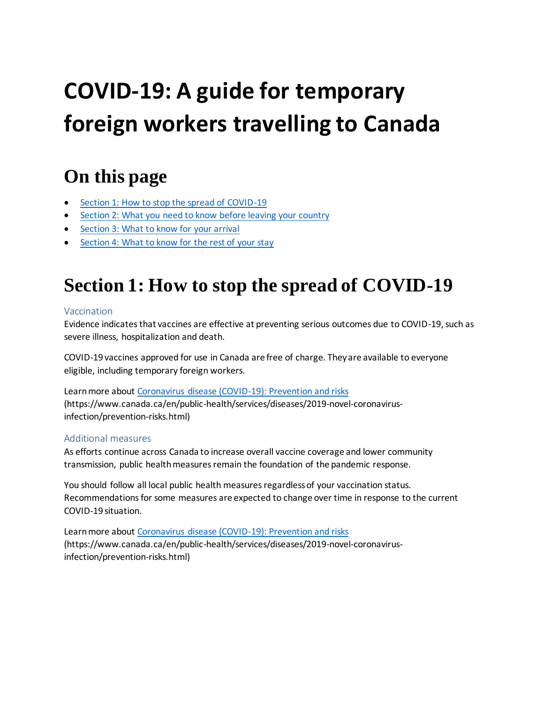# **COVID-19: A guide for temporary foreign workers travelling to Canada**

# **On this page**

- [Section 1: How to stop the spread of COVID-19](#page-0-0)
- [Section 2: What you need to know before leaving your country](#page-1-0)
- **[Section 3: What to know for your arrival](#page-1-1)**
- <span id="page-0-0"></span>• [Section 4: What to know for the rest of your stay](#page-1-2)

# **Section 1: How to stop the spread of COVID-19**

#### Vaccination

Evidence indicates that vaccines are effective at preventing serious outcomes due to COVID-19, such as severe illness, hospitalization and death.

COVID-19 vaccines approved for use in Canada are free of charge. They are available to everyone eligible, including temporary foreign workers.

Learn more about [Coronavirus disease \(COVID-19\): Prevention and risks](https://www.canada.ca/en/public-health/services/diseases/2019-novel-coronavirus-infection/prevention-risks.html) (https://www.canada.ca/en/public-health/services/diseases/2019-novel-coronavirusinfection/prevention-risks.html)

### Additional measures

As efforts continue across Canada to increase overall vaccine coverage and lower community transmission, public health measures remain the foundation of the pandemic response.

You should follow all local public health measures regardless of your vaccination status. Recommendations for some measures are expected to change over time in response to the current COVID-19 situation.

Learn more about [Coronavirus disease \(COVID-19\): Prevention and risks](https://www.canada.ca/en/public-health/services/diseases/2019-novel-coronavirus-infection/prevention-risks.html) (https://www.canada.ca/en/public-health/services/diseases/2019-novel-coronavirusinfection/prevention-risks.html)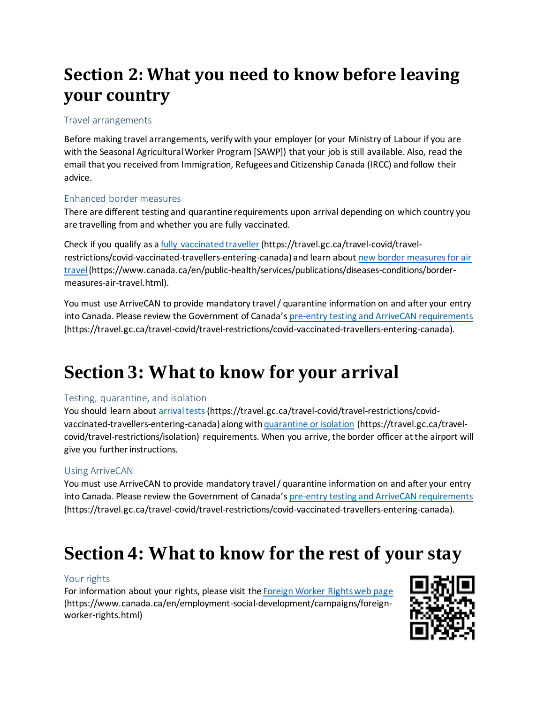# <span id="page-1-0"></span>**Section 2: What you need to know before leaving your country**

### Travel arrangements

Before making travel arrangements, verify with your employer (or your Ministry of Labour if you are with the Seasonal Agricultural Worker Program [SAWP]) that your job is still available. Also, read the email that you received from Immigration, Refugees and Citizenship Canada (IRCC) and follow their advice.

### Enhanced border measures

There are different testing and quarantine requirements upon arrival depending on which country you are travelling from and whether you are fully vaccinated.

Check if you qualify as [a fully vaccinated traveller](https://travel.gc.ca/travel-covid/travel-restrictions/covid-vaccinated-travellers-entering-canada) (https://travel.gc.ca/travel-covid/travelrestrictions/covid-vaccinated-travellers-entering-canada) and learn about new border measures for air [travel](https://www.canada.ca/en/public-health/services/publications/diseases-conditions/border-measures-air-travel.html)(https://www.canada.ca/en/public-health/services/publications/diseases-conditions/bordermeasures-air-travel.html).

You must use ArriveCAN to provide mandatory travel / quarantine information on and after your entry into Canada. Please review the Government of Canada's [pre-entry testing and ArriveCAN requirements](https://travel.gc.ca/travel-covid/travel-restrictions/covid-vaccinated-travellers-entering-canada) (https://travel.gc.ca/travel-covid/travel-restrictions/covid-vaccinated-travellers-entering-canada).

# <span id="page-1-1"></span>**Section 3: What to know for your arrival**

#### Testing, quarantine, and isolation

You should learn about [arrival tests](https://travel.gc.ca/travel-covid/travel-restrictions/covid-vaccinated-travellers-entering-canada)(https://travel.gc.ca/travel-covid/travel-restrictions/covidvaccinated-travellers-entering-canada) along with quarantine or isolation (https://travel.gc.ca/travelcovid/travel-restrictions/isolation) requirements. When you arrive, the border officer at the airport will give you further instructions.

#### Using ArriveCAN

You must use ArriveCAN to provide mandatory travel / quarantine information on and after your entry into Canada. Please review the Government of Canada's [pre-entry testing and ArriveCAN requirements](https://travel.gc.ca/travel-covid/travel-restrictions/covid-vaccinated-travellers-entering-canada) (https://travel.gc.ca/travel-covid/travel-restrictions/covid-vaccinated-travellers-entering-canada).

# <span id="page-1-2"></span>**Section 4: What to know for the rest of your stay**

#### Your rights

For information about your rights, please visit th[e Foreign Worker Rights web page](https://www.canada.ca/en/employment-social-development/campaigns/foreign-worker-rights.html) (https://www.canada.ca/en/employment-social-development/campaigns/foreignworker-rights.html)

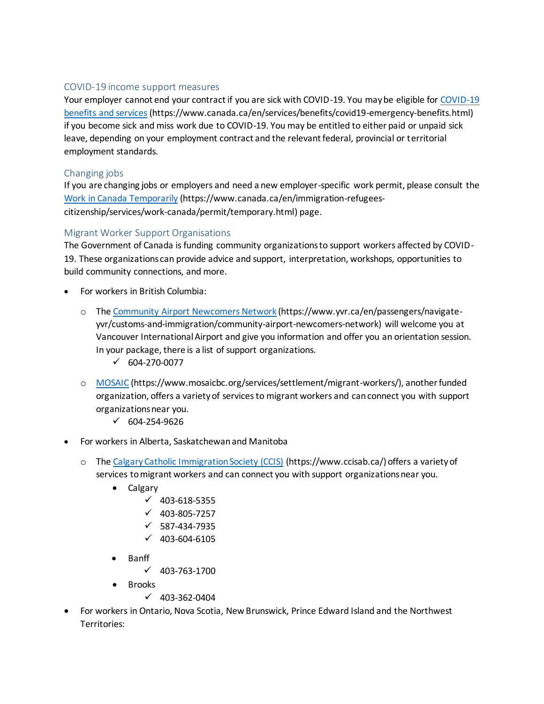#### COVID-19 income support measures

Your employer cannot end your contract if you are sick with COVID-19. You may be eligible fo[r COVID-19](https://www.canada.ca/en/services/benefits/covid19-emergency-benefits.html)  [benefits and services](https://www.canada.ca/en/services/benefits/covid19-emergency-benefits.html) (https://www.canada.ca/en/services/benefits/covid19-emergency-benefits.html) if you become sick and miss work due to COVID-19. You may be entitled to either paid or unpaid sick leave, depending on your employment contract and the relevant federal, provincial or territorial employment standards.

#### Changing jobs

If you are changing jobs or employers and need a new employer-specific work permit, please consult the [Work in Canada Temporarily](https://www.canada.ca/en/immigration-refugees-citizenship/services/work-canada/permit/temporary.html) (https://www.canada.ca/en/immigration-refugeescitizenship/services/work-canada/permit/temporary.html) page.

#### Migrant Worker Support Organisations

The Government of Canada is funding community organizations to support workers affected by COVID-19. These organizations can provide advice and support, interpretation, workshops, opportunities to build community connections, and more.

- For workers in British Columbia:
	- o The [Community Airport Newcomers Network](https://www.yvr.ca/en/passengers/navigate-yvr/customs-and-immigration/community-airport-newcomers-network) (https://www.yvr.ca/en/passengers/navigateyvr/customs-and-immigration/community-airport-newcomers-network) will welcome you at Vancouver International Airport and give you information and offer you an orientation session. In your package, there is a list of support organizations.
		- $\checkmark$  604-270-0077
	- o [MOSAIC](https://www.mosaicbc.org/services/settlement/migrant-workers/) (https://www.mosaicbc.org/services/settlement/migrant-workers/), another funded organization, offers a variety of services to migrant workers and can connect you with support organizations near you.
		- $\sqrt{604-254-9626}$
- For workers in Alberta, Saskatchewan and Manitoba
	- o The [Calgary Catholic Immigration Society \(CCIS\)](https://www.ccisab.ca/) (https://www.ccisab.ca/) offers a variety of services to migrant workers and can connect you with support organizations near you.
		- Calgary
			- $\checkmark$  403-618-5355
			- $\checkmark$  403-805-7257
			- $\checkmark$  587-434-7935
			- $\checkmark$  403-604-6105
		- Banff
			- $\checkmark$  403-763-1700
		- Brooks
			- $(403-362-0404)$
- For workers in Ontario, Nova Scotia, New Brunswick, Prince Edward Island and the Northwest Territories: